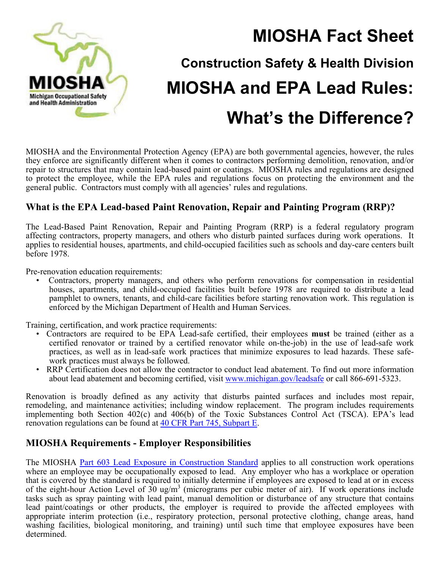

# **MIOSHA Fact Sheet Construction Safety & Health Division MIOSHA and EPA Lead Rules: What's the Difference?**

MIOSHA and the Environmental Protection Agency (EPA) are both governmental agencies, however, the rules they enforce are significantly different when it comes to contractors performing demolition, renovation, and/or repair to structures that may contain lead-based paint or coatings. MIOSHA rules and regulations are designed to protect the employee, while the EPA rules and regulations focus on protecting the environment and the general public. Contractors must comply with all agencies' rules and regulations.

### **What is the EPA Lead-based Paint Renovation, Repair and Painting Program (RRP)?**

The Lead-Based Paint Renovation, Repair and Painting Program (RRP) is a federal regulatory program affecting contractors, property managers, and others who disturb painted surfaces during work operations. It applies to residential houses, apartments, and child-occupied facilities such as schools and day-care centers built before 1978.

Pre-renovation education requirements:

• Contractors, property managers, and others who perform renovations for compensation in residential houses, apartments, and child-occupied facilities built before 1978 are required to distribute a lead pamphlet to owners, tenants, and child-care facilities before starting renovation work. This regulation is enforced by the Michigan Department of Health and Human Services.

Training, certification, and work practice requirements:

- Contractors are required to be EPA Lead-safe certified, their employees **must** be trained (either as a certified renovator or trained by a certified renovator while on-the-job) in the use of lead-safe work practices, as well as in lead-safe work practices that minimize exposures to lead hazards. These safework practices must always be followed.
- RRP Certification does not allow the contractor to conduct lead abatement. To find out more information about lead abatement and becoming certified, visit www.michigan.gov/leadsafe or call 866-691-5323.

Renovation is broadly defined as any activity that disturbs painted surfaces and includes most repair, remodeling, and maintenance activities; including window replacement. The program includes requirements implementing both Section 402(c) and 406(b) of the Toxic Substances Control Act (TSCA). EPA's lead renovation regulations can be found at [40 CFR Part 745, Subpart E](http://www2.epa.gov/lead/lead-renovation-repair-and-painting-program-rules).

### **MIOSHA Requirements - Employer Responsibilities**

The MIOSHA [Part 603 Lead Exposure in Construction Standard](http://www.michigan.gov/documents/CIS_WSH_part603_35656_7.pdf) applies to all construction work operations where an employee may be occupationally exposed to lead. Any employer who has a workplace or operation that is covered by the standard is required to initially determine if employees are exposed to lead at or in excess of the eight-hour Action Level of  $30 \text{ ug/m}^3$  (micrograms per cubic meter of air). If work operations include tasks such as spray painting with lead paint, manual demolition or disturbance of any structure that contains lead paint/coatings or other products, the employer is required to provide the affected employees with appropriate interim protection (i.e., respiratory protection, personal protective clothing, change areas, hand washing facilities, biological monitoring, and training) until such time that employee exposures have been determined.